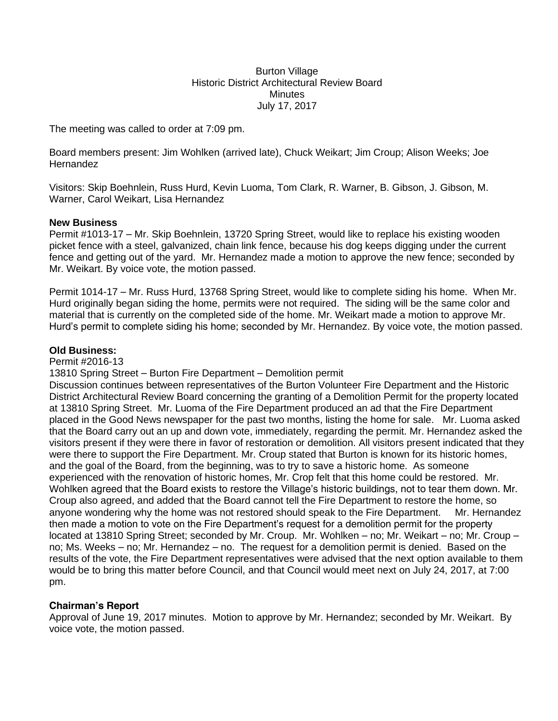Burton Village Historic District Architectural Review Board **Minutes** July 17, 2017

The meeting was called to order at 7:09 pm.

Board members present: Jim Wohlken (arrived late), Chuck Weikart; Jim Croup; Alison Weeks; Joe Hernandez

Visitors: Skip Boehnlein, Russ Hurd, Kevin Luoma, Tom Clark, R. Warner, B. Gibson, J. Gibson, M. Warner, Carol Weikart, Lisa Hernandez

## **New Business**

Permit #1013-17 – Mr. Skip Boehnlein, 13720 Spring Street, would like to replace his existing wooden picket fence with a steel, galvanized, chain link fence, because his dog keeps digging under the current fence and getting out of the yard. Mr. Hernandez made a motion to approve the new fence; seconded by Mr. Weikart. By voice vote, the motion passed.

Permit 1014-17 – Mr. Russ Hurd, 13768 Spring Street, would like to complete siding his home. When Mr. Hurd originally began siding the home, permits were not required. The siding will be the same color and material that is currently on the completed side of the home. Mr. Weikart made a motion to approve Mr. Hurd's permit to complete siding his home; seconded by Mr. Hernandez. By voice vote, the motion passed.

## **Old Business:**

Permit #2016-13

13810 Spring Street – Burton Fire Department – Demolition permit

Discussion continues between representatives of the Burton Volunteer Fire Department and the Historic District Architectural Review Board concerning the granting of a Demolition Permit for the property located at 13810 Spring Street. Mr. Luoma of the Fire Department produced an ad that the Fire Department placed in the Good News newspaper for the past two months, listing the home for sale. Mr. Luoma asked that the Board carry out an up and down vote, immediately, regarding the permit. Mr. Hernandez asked the visitors present if they were there in favor of restoration or demolition. All visitors present indicated that they were there to support the Fire Department. Mr. Croup stated that Burton is known for its historic homes, and the goal of the Board, from the beginning, was to try to save a historic home. As someone experienced with the renovation of historic homes, Mr. Crop felt that this home could be restored. Mr. Wohlken agreed that the Board exists to restore the Village's historic buildings, not to tear them down. Mr. Croup also agreed, and added that the Board cannot tell the Fire Department to restore the home, so anyone wondering why the home was not restored should speak to the Fire Department. Mr. Hernandez then made a motion to vote on the Fire Department's request for a demolition permit for the property located at 13810 Spring Street; seconded by Mr. Croup. Mr. Wohlken – no; Mr. Weikart – no; Mr. Croup – no; Ms. Weeks – no; Mr. Hernandez – no. The request for a demolition permit is denied. Based on the results of the vote, the Fire Department representatives were advised that the next option available to them would be to bring this matter before Council, and that Council would meet next on July 24, 2017, at 7:00 pm.

## **Chairman's Report**

Approval of June 19, 2017 minutes. Motion to approve by Mr. Hernandez; seconded by Mr. Weikart. By voice vote, the motion passed.